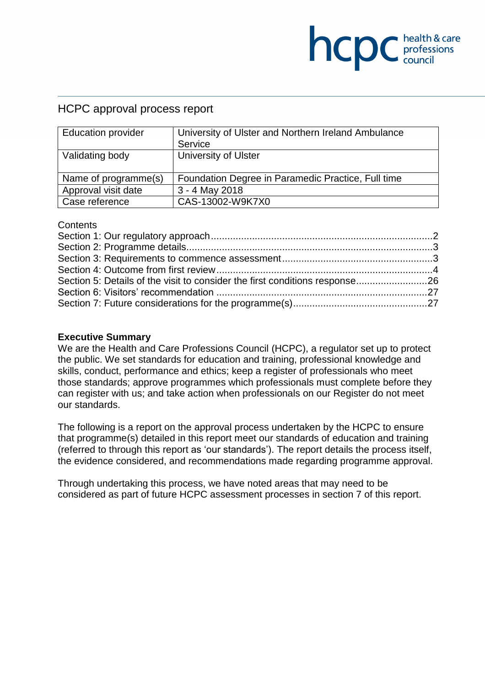# **NCDC** health & care

# HCPC approval process report

| <b>Education provider</b> | University of Ulster and Northern Ireland Ambulance<br>Service |
|---------------------------|----------------------------------------------------------------|
| Validating body           | <b>University of Ulster</b>                                    |
| Name of programme(s)      | Foundation Degree in Paramedic Practice, Full time             |
| Approval visit date       | 3 - 4 May 2018                                                 |
| Case reference            | CAS-13002-W9K7X0                                               |

#### **Contents**

| Section 5: Details of the visit to consider the first conditions response26 |  |
|-----------------------------------------------------------------------------|--|
|                                                                             |  |
|                                                                             |  |

#### **Executive Summary**

We are the Health and Care Professions Council (HCPC), a regulator set up to protect the public. We set standards for education and training, professional knowledge and skills, conduct, performance and ethics; keep a register of professionals who meet those standards; approve programmes which professionals must complete before they can register with us; and take action when professionals on our Register do not meet our standards.

The following is a report on the approval process undertaken by the HCPC to ensure that programme(s) detailed in this report meet our standards of education and training (referred to through this report as 'our standards'). The report details the process itself, the evidence considered, and recommendations made regarding programme approval.

Through undertaking this process, we have noted areas that may need to be considered as part of future HCPC assessment processes in section 7 of this report.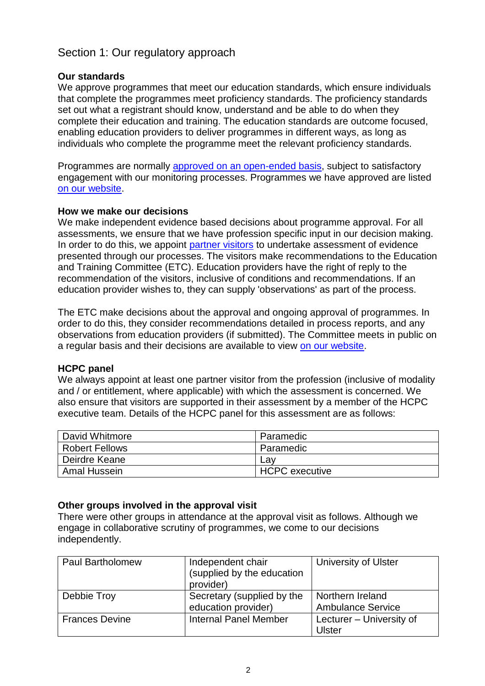# Section 1: Our regulatory approach

# **Our standards**

We approve programmes that meet our education standards, which ensure individuals that complete the programmes meet proficiency standards. The proficiency standards set out what a registrant should know, understand and be able to do when they complete their education and training. The education standards are outcome focused, enabling education providers to deliver programmes in different ways, as long as individuals who complete the programme meet the relevant proficiency standards.

Programmes are normally approved on an open-ended basis, subject to satisfactory engagement with our monitoring processes. Programmes we have approved are listed on our website.

#### **How we make our decisions**

We make independent evidence based decisions about programme approval. For all assessments, we ensure that we have profession specific input in our decision making. In order to do this, we appoint partner visitors to undertake assessment of evidence presented through our processes. The visitors make recommendations to the Education and Training Committee (ETC). Education providers have the right of reply to the recommendation of the visitors, inclusive of conditions and recommendations. If an education provider wishes to, they can supply 'observations' as part of the process.

The ETC make decisions about the approval and ongoing approval of programmes. In order to do this, they consider recommendations detailed in process reports, and any observations from education providers (if submitted). The Committee meets in public on a regular basis and their decisions are available to view on our website.

#### **HCPC panel**

We always appoint at least one partner visitor from the profession (inclusive of modality and / or entitlement, where applicable) with which the assessment is concerned. We also ensure that visitors are supported in their assessment by a member of the HCPC executive team. Details of the HCPC panel for this assessment are as follows:

| l David Whitmore | Paramedic             |
|------------------|-----------------------|
| Robert Fellows   | Paramedic             |
| l Deirdre Keane  | Lav                   |
| Amal Hussein     | <b>HCPC</b> executive |

# **Other groups involved in the approval visit**

There were other groups in attendance at the approval visit as follows. Although we engage in collaborative scrutiny of programmes, we come to our decisions independently.

| <b>Paul Bartholomew</b> | Independent chair<br>(supplied by the education<br>provider) | <b>University of Ulster</b> |
|-------------------------|--------------------------------------------------------------|-----------------------------|
| Debbie Troy             | Secretary (supplied by the                                   | Northern Ireland            |
|                         | education provider)                                          | <b>Ambulance Service</b>    |
| <b>Frances Devine</b>   | Internal Panel Member                                        | Lecturer - University of    |
|                         |                                                              | <b>Ulster</b>               |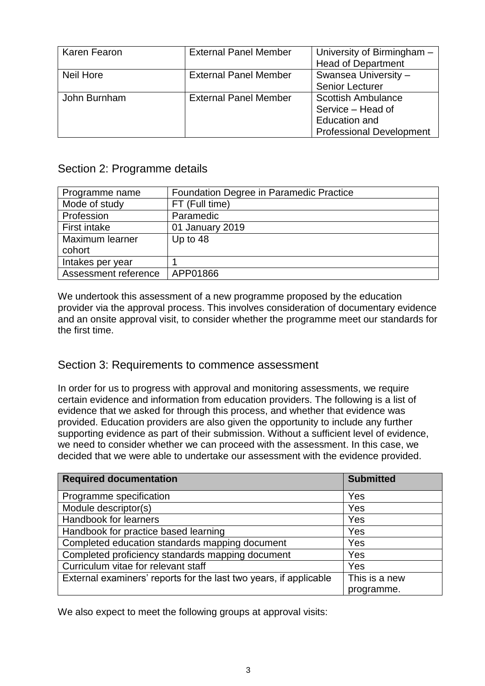| Karen Fearon | <b>External Panel Member</b> | University of Birmingham -      |
|--------------|------------------------------|---------------------------------|
|              |                              | <b>Head of Department</b>       |
| Neil Hore    | <b>External Panel Member</b> | Swansea University -            |
|              |                              | <b>Senior Lecturer</b>          |
| John Burnham | <b>External Panel Member</b> | <b>Scottish Ambulance</b>       |
|              |                              | Service – Head of               |
|              |                              | <b>Education and</b>            |
|              |                              | <b>Professional Development</b> |

# Section 2: Programme details

| Programme name       | Foundation Degree in Paramedic Practice |
|----------------------|-----------------------------------------|
| Mode of study        | FT (Full time)                          |
| Profession           | Paramedic                               |
| First intake         | 01 January 2019                         |
| Maximum learner      | Up to 48                                |
| cohort               |                                         |
| Intakes per year     |                                         |
| Assessment reference | APP01866                                |

We undertook this assessment of a new programme proposed by the education provider via the approval process. This involves consideration of documentary evidence and an onsite approval visit, to consider whether the programme meet our standards for the first time.

# Section 3: Requirements to commence assessment

In order for us to progress with approval and monitoring assessments, we require certain evidence and information from education providers. The following is a list of evidence that we asked for through this process, and whether that evidence was provided. Education providers are also given the opportunity to include any further supporting evidence as part of their submission. Without a sufficient level of evidence, we need to consider whether we can proceed with the assessment. In this case, we decided that we were able to undertake our assessment with the evidence provided.

| <b>Required documentation</b>                                     | <b>Submitted</b> |
|-------------------------------------------------------------------|------------------|
| Programme specification                                           | Yes              |
| Module descriptor(s)                                              | Yes              |
| Handbook for learners                                             | Yes              |
| Handbook for practice based learning                              | Yes              |
| Completed education standards mapping document                    | Yes              |
| Completed proficiency standards mapping document                  | Yes              |
| Curriculum vitae for relevant staff                               | Yes              |
| External examiners' reports for the last two years, if applicable | This is a new    |
|                                                                   | programme.       |

We also expect to meet the following groups at approval visits: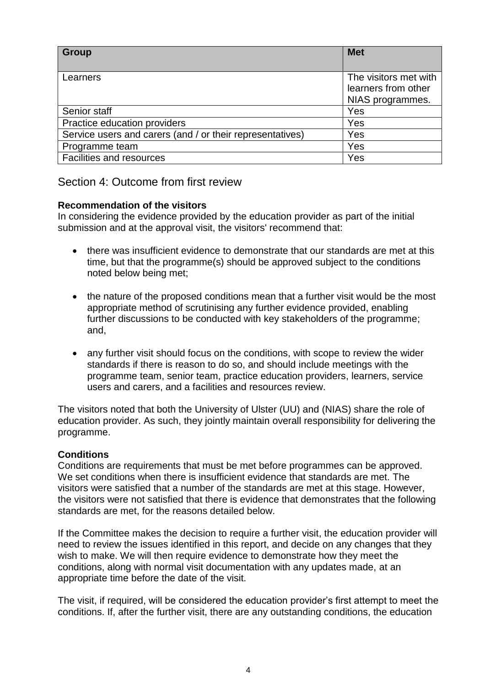| Group                                                     | <b>Met</b>                                                       |
|-----------------------------------------------------------|------------------------------------------------------------------|
| Learners                                                  | The visitors met with<br>learners from other<br>NIAS programmes. |
| Senior staff                                              | Yes                                                              |
| Practice education providers                              | Yes                                                              |
| Service users and carers (and / or their representatives) | Yes                                                              |
| Programme team                                            | Yes                                                              |
| <b>Facilities and resources</b>                           | Yes                                                              |

# Section 4: Outcome from first review

#### **Recommendation of the visitors**

In considering the evidence provided by the education provider as part of the initial submission and at the approval visit, the visitors' recommend that:

- there was insufficient evidence to demonstrate that our standards are met at this time, but that the programme(s) should be approved subject to the conditions noted below being met;
- the nature of the proposed conditions mean that a further visit would be the most appropriate method of scrutinising any further evidence provided, enabling further discussions to be conducted with key stakeholders of the programme; and,
- any further visit should focus on the conditions, with scope to review the wider standards if there is reason to do so, and should include meetings with the programme team, senior team, practice education providers, learners, service users and carers, and a facilities and resources review.

The visitors noted that both the University of Ulster (UU) and (NIAS) share the role of education provider. As such, they jointly maintain overall responsibility for delivering the programme.

#### **Conditions**

Conditions are requirements that must be met before programmes can be approved. We set conditions when there is insufficient evidence that standards are met. The visitors were satisfied that a number of the standards are met at this stage. However, the visitors were not satisfied that there is evidence that demonstrates that the following standards are met, for the reasons detailed below.

If the Committee makes the decision to require a further visit, the education provider will need to review the issues identified in this report, and decide on any changes that they wish to make. We will then require evidence to demonstrate how they meet the conditions, along with normal visit documentation with any updates made, at an appropriate time before the date of the visit.

The visit, if required, will be considered the education provider's first attempt to meet the conditions. If, after the further visit, there are any outstanding conditions, the education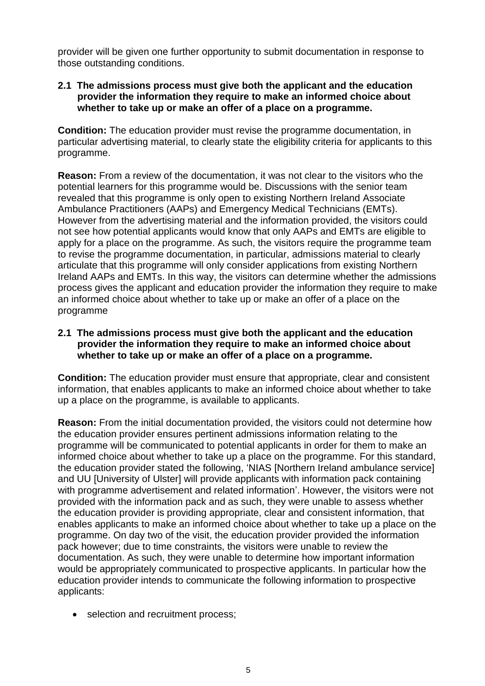provider will be given one further opportunity to submit documentation in response to those outstanding conditions.

#### **2.1 The admissions process must give both the applicant and the education provider the information they require to make an informed choice about whether to take up or make an offer of a place on a programme.**

**Condition:** The education provider must revise the programme documentation, in particular advertising material, to clearly state the eligibility criteria for applicants to this programme.

**Reason:** From a review of the documentation, it was not clear to the visitors who the potential learners for this programme would be. Discussions with the senior team revealed that this programme is only open to existing Northern Ireland Associate Ambulance Practitioners (AAPs) and Emergency Medical Technicians (EMTs). However from the advertising material and the information provided, the visitors could not see how potential applicants would know that only AAPs and EMTs are eligible to apply for a place on the programme. As such, the visitors require the programme team to revise the programme documentation, in particular, admissions material to clearly articulate that this programme will only consider applications from existing Northern Ireland AAPs and EMTs. In this way, the visitors can determine whether the admissions process gives the applicant and education provider the information they require to make an informed choice about whether to take up or make an offer of a place on the programme

## **2.1 The admissions process must give both the applicant and the education provider the information they require to make an informed choice about whether to take up or make an offer of a place on a programme.**

**Condition:** The education provider must ensure that appropriate, clear and consistent information, that enables applicants to make an informed choice about whether to take up a place on the programme, is available to applicants.

**Reason:** From the initial documentation provided, the visitors could not determine how the education provider ensures pertinent admissions information relating to the programme will be communicated to potential applicants in order for them to make an informed choice about whether to take up a place on the programme. For this standard, the education provider stated the following, 'NIAS [Northern Ireland ambulance service] and UU [University of Ulster] will provide applicants with information pack containing with programme advertisement and related information'. However, the visitors were not provided with the information pack and as such, they were unable to assess whether the education provider is providing appropriate, clear and consistent information, that enables applicants to make an informed choice about whether to take up a place on the programme. On day two of the visit, the education provider provided the information pack however; due to time constraints, the visitors were unable to review the documentation. As such, they were unable to determine how important information would be appropriately communicated to prospective applicants. In particular how the education provider intends to communicate the following information to prospective applicants:

• selection and recruitment process;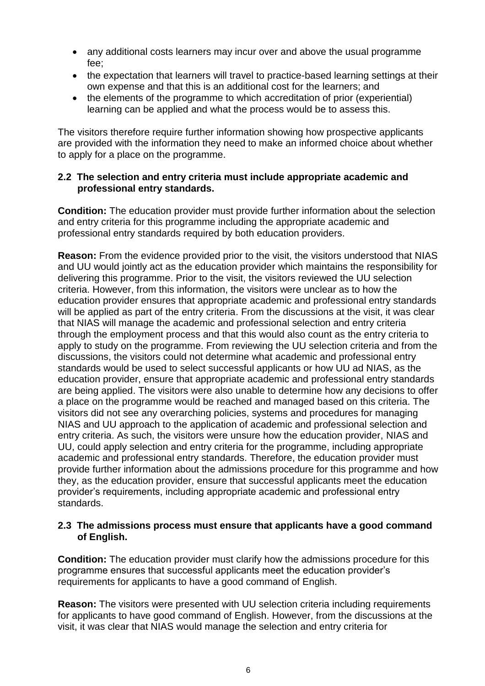- any additional costs learners may incur over and above the usual programme fee;
- the expectation that learners will travel to practice-based learning settings at their own expense and that this is an additional cost for the learners; and
- the elements of the programme to which accreditation of prior (experiential) learning can be applied and what the process would be to assess this.

The visitors therefore require further information showing how prospective applicants are provided with the information they need to make an informed choice about whether to apply for a place on the programme.

# **2.2 The selection and entry criteria must include appropriate academic and professional entry standards.**

**Condition:** The education provider must provide further information about the selection and entry criteria for this programme including the appropriate academic and professional entry standards required by both education providers.

**Reason:** From the evidence provided prior to the visit, the visitors understood that NIAS and UU would jointly act as the education provider which maintains the responsibility for delivering this programme. Prior to the visit, the visitors reviewed the UU selection criteria. However, from this information, the visitors were unclear as to how the education provider ensures that appropriate academic and professional entry standards will be applied as part of the entry criteria. From the discussions at the visit, it was clear that NIAS will manage the academic and professional selection and entry criteria through the employment process and that this would also count as the entry criteria to apply to study on the programme. From reviewing the UU selection criteria and from the discussions, the visitors could not determine what academic and professional entry standards would be used to select successful applicants or how UU ad NIAS, as the education provider, ensure that appropriate academic and professional entry standards are being applied. The visitors were also unable to determine how any decisions to offer a place on the programme would be reached and managed based on this criteria. The visitors did not see any overarching policies, systems and procedures for managing NIAS and UU approach to the application of academic and professional selection and entry criteria. As such, the visitors were unsure how the education provider, NIAS and UU, could apply selection and entry criteria for the programme, including appropriate academic and professional entry standards. Therefore, the education provider must provide further information about the admissions procedure for this programme and how they, as the education provider, ensure that successful applicants meet the education provider's requirements, including appropriate academic and professional entry standards.

#### **2.3 The admissions process must ensure that applicants have a good command of English.**

**Condition:** The education provider must clarify how the admissions procedure for this programme ensures that successful applicants meet the education provider's requirements for applicants to have a good command of English.

**Reason:** The visitors were presented with UU selection criteria including requirements for applicants to have good command of English. However, from the discussions at the visit, it was clear that NIAS would manage the selection and entry criteria for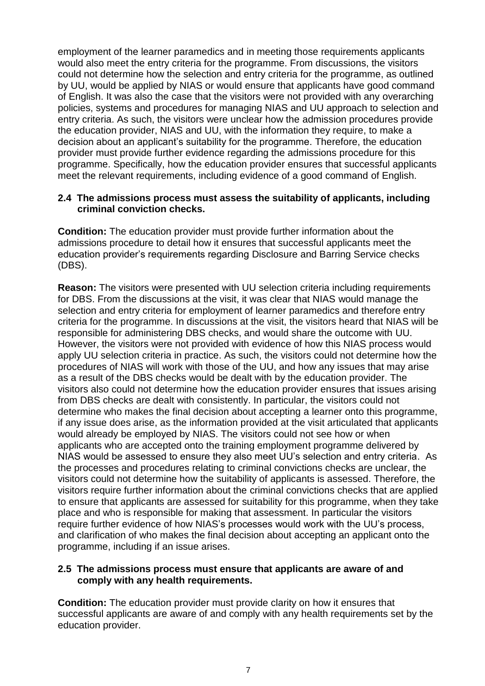employment of the learner paramedics and in meeting those requirements applicants would also meet the entry criteria for the programme. From discussions, the visitors could not determine how the selection and entry criteria for the programme, as outlined by UU, would be applied by NIAS or would ensure that applicants have good command of English. It was also the case that the visitors were not provided with any overarching policies, systems and procedures for managing NIAS and UU approach to selection and entry criteria. As such, the visitors were unclear how the admission procedures provide the education provider, NIAS and UU, with the information they require, to make a decision about an applicant's suitability for the programme. Therefore, the education provider must provide further evidence regarding the admissions procedure for this programme. Specifically, how the education provider ensures that successful applicants meet the relevant requirements, including evidence of a good command of English.

#### **2.4 The admissions process must assess the suitability of applicants, including criminal conviction checks.**

**Condition:** The education provider must provide further information about the admissions procedure to detail how it ensures that successful applicants meet the education provider's requirements regarding Disclosure and Barring Service checks (DBS).

**Reason:** The visitors were presented with UU selection criteria including requirements for DBS. From the discussions at the visit, it was clear that NIAS would manage the selection and entry criteria for employment of learner paramedics and therefore entry criteria for the programme. In discussions at the visit, the visitors heard that NIAS will be responsible for administering DBS checks, and would share the outcome with UU. However, the visitors were not provided with evidence of how this NIAS process would apply UU selection criteria in practice. As such, the visitors could not determine how the procedures of NIAS will work with those of the UU, and how any issues that may arise as a result of the DBS checks would be dealt with by the education provider. The visitors also could not determine how the education provider ensures that issues arising from DBS checks are dealt with consistently. In particular, the visitors could not determine who makes the final decision about accepting a learner onto this programme, if any issue does arise, as the information provided at the visit articulated that applicants would already be employed by NIAS. The visitors could not see how or when applicants who are accepted onto the training employment programme delivered by NIAS would be assessed to ensure they also meet UU's selection and entry criteria. As the processes and procedures relating to criminal convictions checks are unclear, the visitors could not determine how the suitability of applicants is assessed. Therefore, the visitors require further information about the criminal convictions checks that are applied to ensure that applicants are assessed for suitability for this programme, when they take place and who is responsible for making that assessment. In particular the visitors require further evidence of how NIAS's processes would work with the UU's process, and clarification of who makes the final decision about accepting an applicant onto the programme, including if an issue arises.

#### **2.5 The admissions process must ensure that applicants are aware of and comply with any health requirements.**

**Condition:** The education provider must provide clarity on how it ensures that successful applicants are aware of and comply with any health requirements set by the education provider.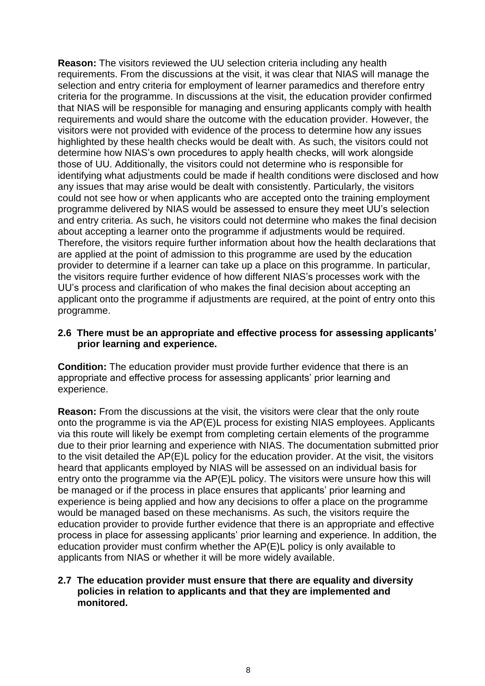**Reason:** The visitors reviewed the UU selection criteria including any health requirements. From the discussions at the visit, it was clear that NIAS will manage the selection and entry criteria for employment of learner paramedics and therefore entry criteria for the programme. In discussions at the visit, the education provider confirmed that NIAS will be responsible for managing and ensuring applicants comply with health requirements and would share the outcome with the education provider. However, the visitors were not provided with evidence of the process to determine how any issues highlighted by these health checks would be dealt with. As such, the visitors could not determine how NIAS's own procedures to apply health checks, will work alongside those of UU. Additionally, the visitors could not determine who is responsible for identifying what adjustments could be made if health conditions were disclosed and how any issues that may arise would be dealt with consistently. Particularly, the visitors could not see how or when applicants who are accepted onto the training employment programme delivered by NIAS would be assessed to ensure they meet UU's selection and entry criteria. As such, he visitors could not determine who makes the final decision about accepting a learner onto the programme if adjustments would be required. Therefore, the visitors require further information about how the health declarations that are applied at the point of admission to this programme are used by the education provider to determine if a learner can take up a place on this programme. In particular, the visitors require further evidence of how different NIAS's processes work with the UU's process and clarification of who makes the final decision about accepting an applicant onto the programme if adjustments are required, at the point of entry onto this programme.

#### **2.6 There must be an appropriate and effective process for assessing applicants' prior learning and experience.**

**Condition:** The education provider must provide further evidence that there is an appropriate and effective process for assessing applicants' prior learning and experience.

**Reason:** From the discussions at the visit, the visitors were clear that the only route onto the programme is via the AP(E)L process for existing NIAS employees. Applicants via this route will likely be exempt from completing certain elements of the programme due to their prior learning and experience with NIAS. The documentation submitted prior to the visit detailed the AP(E)L policy for the education provider. At the visit, the visitors heard that applicants employed by NIAS will be assessed on an individual basis for entry onto the programme via the AP(E)L policy. The visitors were unsure how this will be managed or if the process in place ensures that applicants' prior learning and experience is being applied and how any decisions to offer a place on the programme would be managed based on these mechanisms. As such, the visitors require the education provider to provide further evidence that there is an appropriate and effective process in place for assessing applicants' prior learning and experience. In addition, the education provider must confirm whether the AP(E)L policy is only available to applicants from NIAS or whether it will be more widely available.

#### **2.7 The education provider must ensure that there are equality and diversity policies in relation to applicants and that they are implemented and monitored.**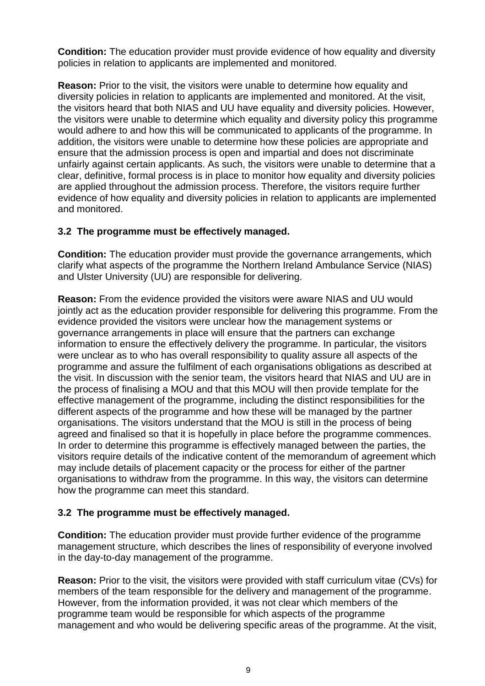**Condition:** The education provider must provide evidence of how equality and diversity policies in relation to applicants are implemented and monitored.

**Reason:** Prior to the visit, the visitors were unable to determine how equality and diversity policies in relation to applicants are implemented and monitored. At the visit, the visitors heard that both NIAS and UU have equality and diversity policies. However, the visitors were unable to determine which equality and diversity policy this programme would adhere to and how this will be communicated to applicants of the programme. In addition, the visitors were unable to determine how these policies are appropriate and ensure that the admission process is open and impartial and does not discriminate unfairly against certain applicants. As such, the visitors were unable to determine that a clear, definitive, formal process is in place to monitor how equality and diversity policies are applied throughout the admission process. Therefore, the visitors require further evidence of how equality and diversity policies in relation to applicants are implemented and monitored.

# **3.2 The programme must be effectively managed.**

**Condition:** The education provider must provide the governance arrangements, which clarify what aspects of the programme the Northern Ireland Ambulance Service (NIAS) and Ulster University (UU) are responsible for delivering.

**Reason:** From the evidence provided the visitors were aware NIAS and UU would jointly act as the education provider responsible for delivering this programme. From the evidence provided the visitors were unclear how the management systems or governance arrangements in place will ensure that the partners can exchange information to ensure the effectively delivery the programme. In particular, the visitors were unclear as to who has overall responsibility to quality assure all aspects of the programme and assure the fulfilment of each organisations obligations as described at the visit. In discussion with the senior team, the visitors heard that NIAS and UU are in the process of finalising a MOU and that this MOU will then provide template for the effective management of the programme, including the distinct responsibilities for the different aspects of the programme and how these will be managed by the partner organisations. The visitors understand that the MOU is still in the process of being agreed and finalised so that it is hopefully in place before the programme commences. In order to determine this programme is effectively managed between the parties, the visitors require details of the indicative content of the memorandum of agreement which may include details of placement capacity or the process for either of the partner organisations to withdraw from the programme. In this way, the visitors can determine how the programme can meet this standard.

# **3.2 The programme must be effectively managed.**

**Condition:** The education provider must provide further evidence of the programme management structure, which describes the lines of responsibility of everyone involved in the day-to-day management of the programme.

**Reason:** Prior to the visit, the visitors were provided with staff curriculum vitae (CVs) for members of the team responsible for the delivery and management of the programme. However, from the information provided, it was not clear which members of the programme team would be responsible for which aspects of the programme management and who would be delivering specific areas of the programme. At the visit,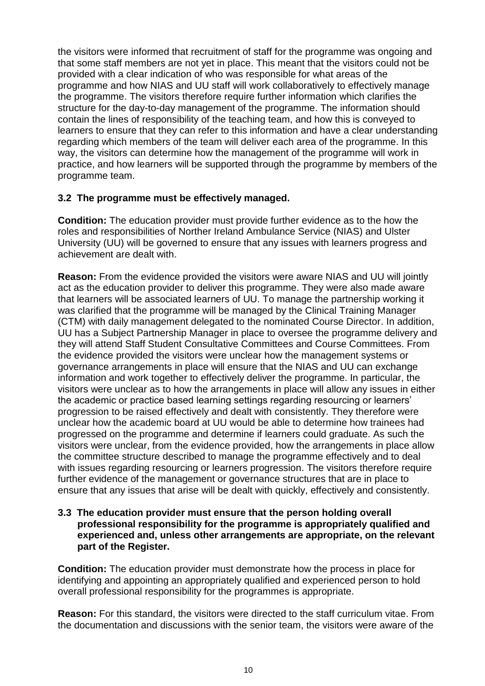the visitors were informed that recruitment of staff for the programme was ongoing and that some staff members are not yet in place. This meant that the visitors could not be provided with a clear indication of who was responsible for what areas of the programme and how NIAS and UU staff will work collaboratively to effectively manage the programme. The visitors therefore require further information which clarifies the structure for the day-to-day management of the programme. The information should contain the lines of responsibility of the teaching team, and how this is conveyed to learners to ensure that they can refer to this information and have a clear understanding regarding which members of the team will deliver each area of the programme. In this way, the visitors can determine how the management of the programme will work in practice, and how learners will be supported through the programme by members of the programme team.

# **3.2 The programme must be effectively managed.**

**Condition:** The education provider must provide further evidence as to the how the roles and responsibilities of Norther Ireland Ambulance Service (NIAS) and Ulster University (UU) will be governed to ensure that any issues with learners progress and achievement are dealt with.

**Reason:** From the evidence provided the visitors were aware NIAS and UU will jointly act as the education provider to deliver this programme. They were also made aware that learners will be associated learners of UU. To manage the partnership working it was clarified that the programme will be managed by the Clinical Training Manager (CTM) with daily management delegated to the nominated Course Director. In addition, UU has a Subject Partnership Manager in place to oversee the programme delivery and they will attend Staff Student Consultative Committees and Course Committees. From the evidence provided the visitors were unclear how the management systems or governance arrangements in place will ensure that the NIAS and UU can exchange information and work together to effectively deliver the programme. In particular, the visitors were unclear as to how the arrangements in place will allow any issues in either the academic or practice based learning settings regarding resourcing or learners' progression to be raised effectively and dealt with consistently. They therefore were unclear how the academic board at UU would be able to determine how trainees had progressed on the programme and determine if learners could graduate. As such the visitors were unclear, from the evidence provided, how the arrangements in place allow the committee structure described to manage the programme effectively and to deal with issues regarding resourcing or learners progression. The visitors therefore require further evidence of the management or governance structures that are in place to ensure that any issues that arise will be dealt with quickly, effectively and consistently.

#### **3.3 The education provider must ensure that the person holding overall professional responsibility for the programme is appropriately qualified and experienced and, unless other arrangements are appropriate, on the relevant part of the Register.**

**Condition:** The education provider must demonstrate how the process in place for identifying and appointing an appropriately qualified and experienced person to hold overall professional responsibility for the programmes is appropriate.

**Reason:** For this standard, the visitors were directed to the staff curriculum vitae. From the documentation and discussions with the senior team, the visitors were aware of the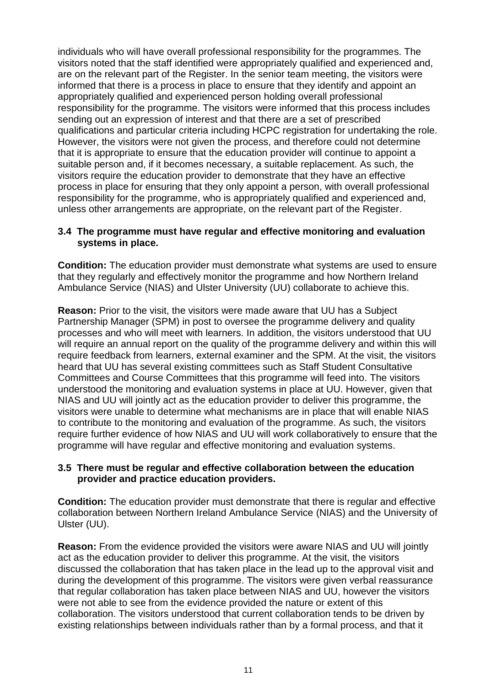individuals who will have overall professional responsibility for the programmes. The visitors noted that the staff identified were appropriately qualified and experienced and, are on the relevant part of the Register. In the senior team meeting, the visitors were informed that there is a process in place to ensure that they identify and appoint an appropriately qualified and experienced person holding overall professional responsibility for the programme. The visitors were informed that this process includes sending out an expression of interest and that there are a set of prescribed qualifications and particular criteria including HCPC registration for undertaking the role. However, the visitors were not given the process, and therefore could not determine that it is appropriate to ensure that the education provider will continue to appoint a suitable person and, if it becomes necessary, a suitable replacement. As such, the visitors require the education provider to demonstrate that they have an effective process in place for ensuring that they only appoint a person, with overall professional responsibility for the programme, who is appropriately qualified and experienced and, unless other arrangements are appropriate, on the relevant part of the Register.

#### **3.4 The programme must have regular and effective monitoring and evaluation systems in place.**

**Condition:** The education provider must demonstrate what systems are used to ensure that they regularly and effectively monitor the programme and how Northern Ireland Ambulance Service (NIAS) and Ulster University (UU) collaborate to achieve this.

**Reason:** Prior to the visit, the visitors were made aware that UU has a Subject Partnership Manager (SPM) in post to oversee the programme delivery and quality processes and who will meet with learners. In addition, the visitors understood that UU will require an annual report on the quality of the programme delivery and within this will require feedback from learners, external examiner and the SPM. At the visit, the visitors heard that UU has several existing committees such as Staff Student Consultative Committees and Course Committees that this programme will feed into. The visitors understood the monitoring and evaluation systems in place at UU. However, given that NIAS and UU will jointly act as the education provider to deliver this programme, the visitors were unable to determine what mechanisms are in place that will enable NIAS to contribute to the monitoring and evaluation of the programme. As such, the visitors require further evidence of how NIAS and UU will work collaboratively to ensure that the programme will have regular and effective monitoring and evaluation systems.

# **3.5 There must be regular and effective collaboration between the education provider and practice education providers.**

**Condition:** The education provider must demonstrate that there is regular and effective collaboration between Northern Ireland Ambulance Service (NIAS) and the University of Ulster (UU).

**Reason:** From the evidence provided the visitors were aware NIAS and UU will jointly act as the education provider to deliver this programme. At the visit, the visitors discussed the collaboration that has taken place in the lead up to the approval visit and during the development of this programme. The visitors were given verbal reassurance that regular collaboration has taken place between NIAS and UU, however the visitors were not able to see from the evidence provided the nature or extent of this collaboration. The visitors understood that current collaboration tends to be driven by existing relationships between individuals rather than by a formal process, and that it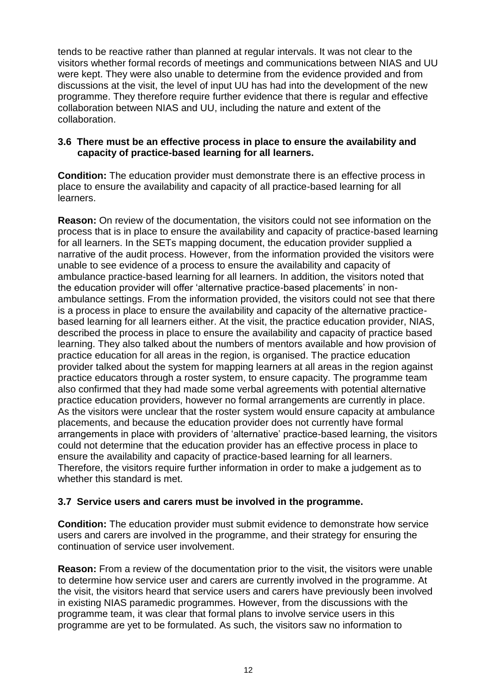tends to be reactive rather than planned at regular intervals. It was not clear to the visitors whether formal records of meetings and communications between NIAS and UU were kept. They were also unable to determine from the evidence provided and from discussions at the visit, the level of input UU has had into the development of the new programme. They therefore require further evidence that there is regular and effective collaboration between NIAS and UU, including the nature and extent of the collaboration.

#### **3.6 There must be an effective process in place to ensure the availability and capacity of practice-based learning for all learners.**

**Condition:** The education provider must demonstrate there is an effective process in place to ensure the availability and capacity of all practice-based learning for all learners.

**Reason:** On review of the documentation, the visitors could not see information on the process that is in place to ensure the availability and capacity of practice-based learning for all learners. In the SETs mapping document, the education provider supplied a narrative of the audit process. However, from the information provided the visitors were unable to see evidence of a process to ensure the availability and capacity of ambulance practice-based learning for all learners. In addition, the visitors noted that the education provider will offer 'alternative practice-based placements' in nonambulance settings. From the information provided, the visitors could not see that there is a process in place to ensure the availability and capacity of the alternative practicebased learning for all learners either. At the visit, the practice education provider, NIAS, described the process in place to ensure the availability and capacity of practice based learning. They also talked about the numbers of mentors available and how provision of practice education for all areas in the region, is organised. The practice education provider talked about the system for mapping learners at all areas in the region against practice educators through a roster system, to ensure capacity. The programme team also confirmed that they had made some verbal agreements with potential alternative practice education providers, however no formal arrangements are currently in place. As the visitors were unclear that the roster system would ensure capacity at ambulance placements, and because the education provider does not currently have formal arrangements in place with providers of 'alternative' practice-based learning, the visitors could not determine that the education provider has an effective process in place to ensure the availability and capacity of practice-based learning for all learners. Therefore, the visitors require further information in order to make a judgement as to whether this standard is met.

# **3.7 Service users and carers must be involved in the programme.**

**Condition:** The education provider must submit evidence to demonstrate how service users and carers are involved in the programme, and their strategy for ensuring the continuation of service user involvement.

**Reason:** From a review of the documentation prior to the visit, the visitors were unable to determine how service user and carers are currently involved in the programme. At the visit, the visitors heard that service users and carers have previously been involved in existing NIAS paramedic programmes. However, from the discussions with the programme team, it was clear that formal plans to involve service users in this programme are yet to be formulated. As such, the visitors saw no information to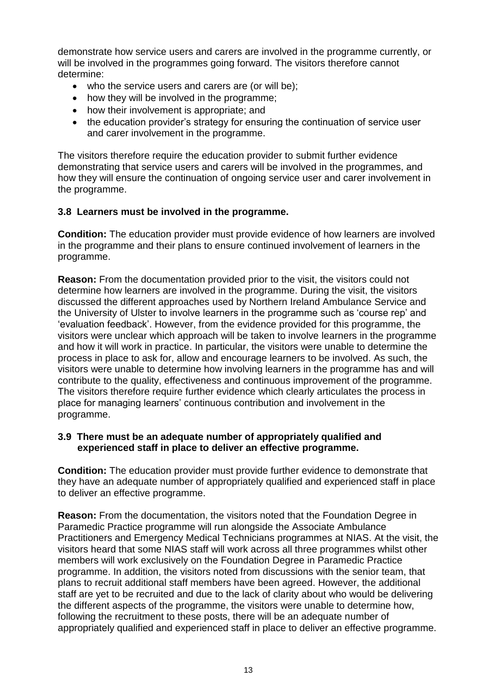demonstrate how service users and carers are involved in the programme currently, or will be involved in the programmes going forward. The visitors therefore cannot determine:

- who the service users and carers are (or will be);
- how they will be involved in the programme;
- how their involvement is appropriate; and
- the education provider's strategy for ensuring the continuation of service user and carer involvement in the programme.

The visitors therefore require the education provider to submit further evidence demonstrating that service users and carers will be involved in the programmes, and how they will ensure the continuation of ongoing service user and carer involvement in the programme.

# **3.8 Learners must be involved in the programme.**

**Condition:** The education provider must provide evidence of how learners are involved in the programme and their plans to ensure continued involvement of learners in the programme.

**Reason:** From the documentation provided prior to the visit, the visitors could not determine how learners are involved in the programme. During the visit, the visitors discussed the different approaches used by Northern Ireland Ambulance Service and the University of Ulster to involve learners in the programme such as 'course rep' and 'evaluation feedback'. However, from the evidence provided for this programme, the visitors were unclear which approach will be taken to involve learners in the programme and how it will work in practice. In particular, the visitors were unable to determine the process in place to ask for, allow and encourage learners to be involved. As such, the visitors were unable to determine how involving learners in the programme has and will contribute to the quality, effectiveness and continuous improvement of the programme. The visitors therefore require further evidence which clearly articulates the process in place for managing learners' continuous contribution and involvement in the programme.

# **3.9 There must be an adequate number of appropriately qualified and experienced staff in place to deliver an effective programme.**

**Condition:** The education provider must provide further evidence to demonstrate that they have an adequate number of appropriately qualified and experienced staff in place to deliver an effective programme.

**Reason:** From the documentation, the visitors noted that the Foundation Degree in Paramedic Practice programme will run alongside the Associate Ambulance Practitioners and Emergency Medical Technicians programmes at NIAS. At the visit, the visitors heard that some NIAS staff will work across all three programmes whilst other members will work exclusively on the Foundation Degree in Paramedic Practice programme. In addition, the visitors noted from discussions with the senior team, that plans to recruit additional staff members have been agreed. However, the additional staff are yet to be recruited and due to the lack of clarity about who would be delivering the different aspects of the programme, the visitors were unable to determine how, following the recruitment to these posts, there will be an adequate number of appropriately qualified and experienced staff in place to deliver an effective programme.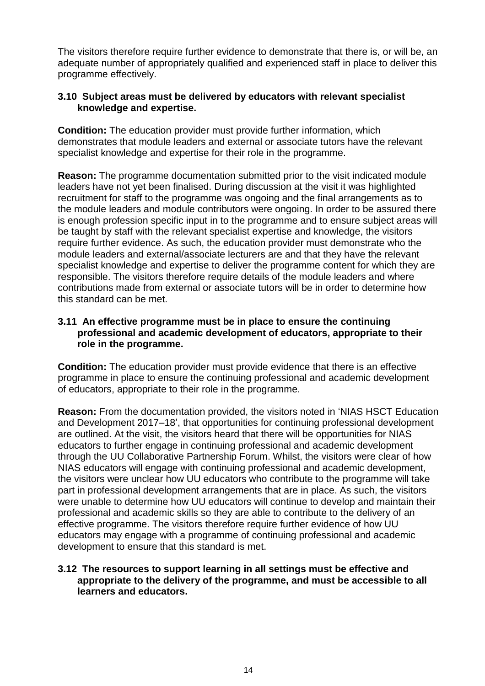The visitors therefore require further evidence to demonstrate that there is, or will be, an adequate number of appropriately qualified and experienced staff in place to deliver this programme effectively.

## **3.10 Subject areas must be delivered by educators with relevant specialist knowledge and expertise.**

**Condition:** The education provider must provide further information, which demonstrates that module leaders and external or associate tutors have the relevant specialist knowledge and expertise for their role in the programme.

**Reason:** The programme documentation submitted prior to the visit indicated module leaders have not yet been finalised. During discussion at the visit it was highlighted recruitment for staff to the programme was ongoing and the final arrangements as to the module leaders and module contributors were ongoing. In order to be assured there is enough profession specific input in to the programme and to ensure subject areas will be taught by staff with the relevant specialist expertise and knowledge, the visitors require further evidence. As such, the education provider must demonstrate who the module leaders and external/associate lecturers are and that they have the relevant specialist knowledge and expertise to deliver the programme content for which they are responsible. The visitors therefore require details of the module leaders and where contributions made from external or associate tutors will be in order to determine how this standard can be met.

# **3.11 An effective programme must be in place to ensure the continuing professional and academic development of educators, appropriate to their role in the programme.**

**Condition:** The education provider must provide evidence that there is an effective programme in place to ensure the continuing professional and academic development of educators, appropriate to their role in the programme.

**Reason:** From the documentation provided, the visitors noted in 'NIAS HSCT Education and Development 2017–18', that opportunities for continuing professional development are outlined. At the visit, the visitors heard that there will be opportunities for NIAS educators to further engage in continuing professional and academic development through the UU Collaborative Partnership Forum. Whilst, the visitors were clear of how NIAS educators will engage with continuing professional and academic development, the visitors were unclear how UU educators who contribute to the programme will take part in professional development arrangements that are in place. As such, the visitors were unable to determine how UU educators will continue to develop and maintain their professional and academic skills so they are able to contribute to the delivery of an effective programme. The visitors therefore require further evidence of how UU educators may engage with a programme of continuing professional and academic development to ensure that this standard is met.

#### **3.12 The resources to support learning in all settings must be effective and appropriate to the delivery of the programme, and must be accessible to all learners and educators.**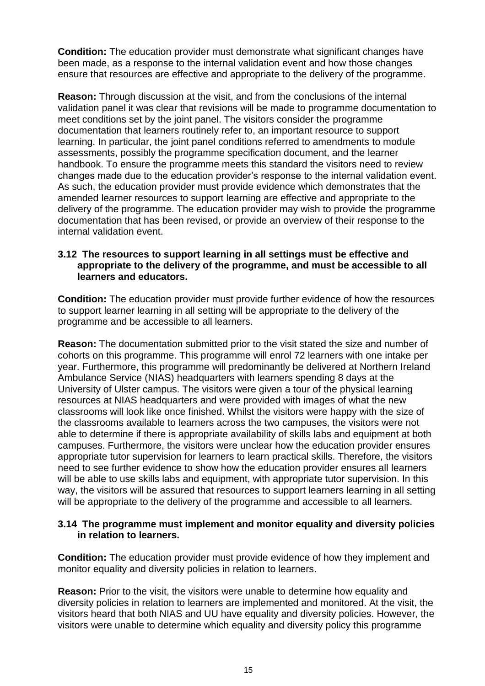**Condition:** The education provider must demonstrate what significant changes have been made, as a response to the internal validation event and how those changes ensure that resources are effective and appropriate to the delivery of the programme.

**Reason:** Through discussion at the visit, and from the conclusions of the internal validation panel it was clear that revisions will be made to programme documentation to meet conditions set by the joint panel. The visitors consider the programme documentation that learners routinely refer to, an important resource to support learning. In particular, the joint panel conditions referred to amendments to module assessments, possibly the programme specification document, and the learner handbook. To ensure the programme meets this standard the visitors need to review changes made due to the education provider's response to the internal validation event. As such, the education provider must provide evidence which demonstrates that the amended learner resources to support learning are effective and appropriate to the delivery of the programme. The education provider may wish to provide the programme documentation that has been revised, or provide an overview of their response to the internal validation event.

#### **3.12 The resources to support learning in all settings must be effective and appropriate to the delivery of the programme, and must be accessible to all learners and educators.**

**Condition:** The education provider must provide further evidence of how the resources to support learner learning in all setting will be appropriate to the delivery of the programme and be accessible to all learners.

**Reason:** The documentation submitted prior to the visit stated the size and number of cohorts on this programme. This programme will enrol 72 learners with one intake per year. Furthermore, this programme will predominantly be delivered at Northern Ireland Ambulance Service (NIAS) headquarters with learners spending 8 days at the University of Ulster campus. The visitors were given a tour of the physical learning resources at NIAS headquarters and were provided with images of what the new classrooms will look like once finished. Whilst the visitors were happy with the size of the classrooms available to learners across the two campuses, the visitors were not able to determine if there is appropriate availability of skills labs and equipment at both campuses. Furthermore, the visitors were unclear how the education provider ensures appropriate tutor supervision for learners to learn practical skills. Therefore, the visitors need to see further evidence to show how the education provider ensures all learners will be able to use skills labs and equipment, with appropriate tutor supervision. In this way, the visitors will be assured that resources to support learners learning in all setting will be appropriate to the delivery of the programme and accessible to all learners.

# **3.14 The programme must implement and monitor equality and diversity policies in relation to learners.**

**Condition:** The education provider must provide evidence of how they implement and monitor equality and diversity policies in relation to learners.

**Reason:** Prior to the visit, the visitors were unable to determine how equality and diversity policies in relation to learners are implemented and monitored. At the visit, the visitors heard that both NIAS and UU have equality and diversity policies. However, the visitors were unable to determine which equality and diversity policy this programme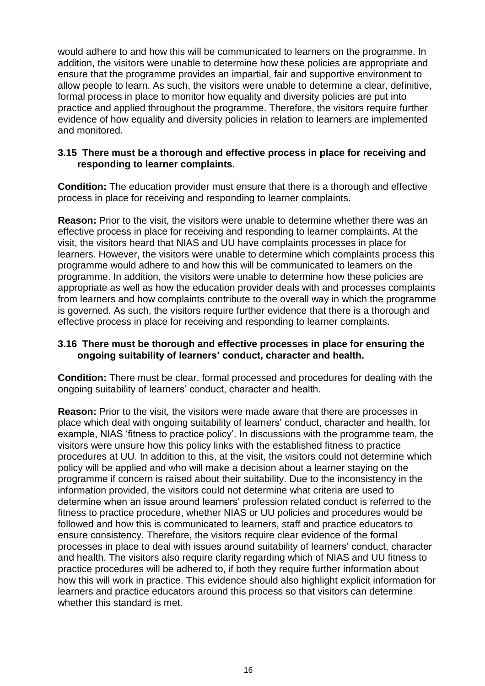would adhere to and how this will be communicated to learners on the programme. In addition, the visitors were unable to determine how these policies are appropriate and ensure that the programme provides an impartial, fair and supportive environment to allow people to learn. As such, the visitors were unable to determine a clear, definitive, formal process in place to monitor how equality and diversity policies are put into practice and applied throughout the programme. Therefore, the visitors require further evidence of how equality and diversity policies in relation to learners are implemented and monitored.

#### **3.15 There must be a thorough and effective process in place for receiving and responding to learner complaints.**

**Condition:** The education provider must ensure that there is a thorough and effective process in place for receiving and responding to learner complaints.

**Reason:** Prior to the visit, the visitors were unable to determine whether there was an effective process in place for receiving and responding to learner complaints. At the visit, the visitors heard that NIAS and UU have complaints processes in place for learners. However, the visitors were unable to determine which complaints process this programme would adhere to and how this will be communicated to learners on the programme. In addition, the visitors were unable to determine how these policies are appropriate as well as how the education provider deals with and processes complaints from learners and how complaints contribute to the overall way in which the programme is governed. As such, the visitors require further evidence that there is a thorough and effective process in place for receiving and responding to learner complaints.

#### **3.16 There must be thorough and effective processes in place for ensuring the ongoing suitability of learners' conduct, character and health.**

**Condition:** There must be clear, formal processed and procedures for dealing with the ongoing suitability of learners' conduct, character and health.

**Reason:** Prior to the visit, the visitors were made aware that there are processes in place which deal with ongoing suitability of learners' conduct, character and health, for example, NIAS 'fitness to practice policy'. In discussions with the programme team, the visitors were unsure how this policy links with the established fitness to practice procedures at UU. In addition to this, at the visit, the visitors could not determine which policy will be applied and who will make a decision about a learner staying on the programme if concern is raised about their suitability. Due to the inconsistency in the information provided, the visitors could not determine what criteria are used to determine when an issue around learners' profession related conduct is referred to the fitness to practice procedure, whether NIAS or UU policies and procedures would be followed and how this is communicated to learners, staff and practice educators to ensure consistency. Therefore, the visitors require clear evidence of the formal processes in place to deal with issues around suitability of learners' conduct, character and health. The visitors also require clarity regarding which of NIAS and UU fitness to practice procedures will be adhered to, if both they require further information about how this will work in practice. This evidence should also highlight explicit information for learners and practice educators around this process so that visitors can determine whether this standard is met.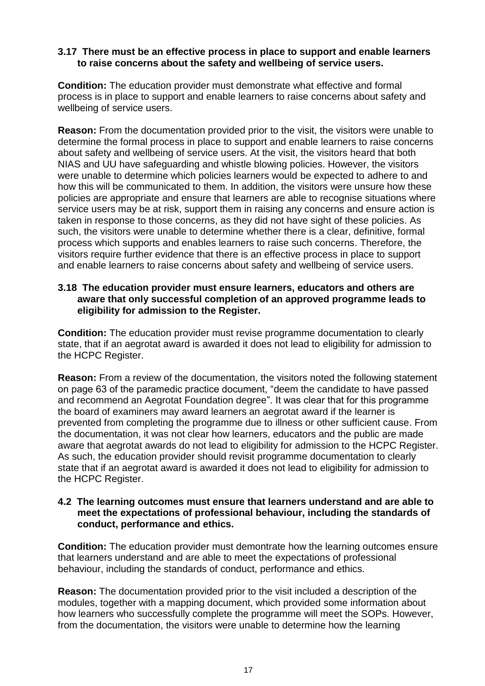## **3.17 There must be an effective process in place to support and enable learners to raise concerns about the safety and wellbeing of service users.**

**Condition:** The education provider must demonstrate what effective and formal process is in place to support and enable learners to raise concerns about safety and wellbeing of service users.

**Reason:** From the documentation provided prior to the visit, the visitors were unable to determine the formal process in place to support and enable learners to raise concerns about safety and wellbeing of service users. At the visit, the visitors heard that both NIAS and UU have safeguarding and whistle blowing policies. However, the visitors were unable to determine which policies learners would be expected to adhere to and how this will be communicated to them. In addition, the visitors were unsure how these policies are appropriate and ensure that learners are able to recognise situations where service users may be at risk, support them in raising any concerns and ensure action is taken in response to those concerns, as they did not have sight of these policies. As such, the visitors were unable to determine whether there is a clear, definitive, formal process which supports and enables learners to raise such concerns. Therefore, the visitors require further evidence that there is an effective process in place to support and enable learners to raise concerns about safety and wellbeing of service users.

## **3.18 The education provider must ensure learners, educators and others are aware that only successful completion of an approved programme leads to eligibility for admission to the Register.**

**Condition:** The education provider must revise programme documentation to clearly state, that if an aegrotat award is awarded it does not lead to eligibility for admission to the HCPC Register.

**Reason:** From a review of the documentation, the visitors noted the following statement on page 63 of the paramedic practice document, "deem the candidate to have passed and recommend an Aegrotat Foundation degree". It was clear that for this programme the board of examiners may award learners an aegrotat award if the learner is prevented from completing the programme due to illness or other sufficient cause. From the documentation, it was not clear how learners, educators and the public are made aware that aegrotat awards do not lead to eligibility for admission to the HCPC Register. As such, the education provider should revisit programme documentation to clearly state that if an aegrotat award is awarded it does not lead to eligibility for admission to the HCPC Register.

#### **4.2 The learning outcomes must ensure that learners understand and are able to meet the expectations of professional behaviour, including the standards of conduct, performance and ethics.**

**Condition:** The education provider must demontrate how the learning outcomes ensure that learners understand and are able to meet the expectations of professional behaviour, including the standards of conduct, performance and ethics.

**Reason:** The documentation provided prior to the visit included a description of the modules, together with a mapping document, which provided some information about how learners who successfully complete the programme will meet the SOPs. However, from the documentation, the visitors were unable to determine how the learning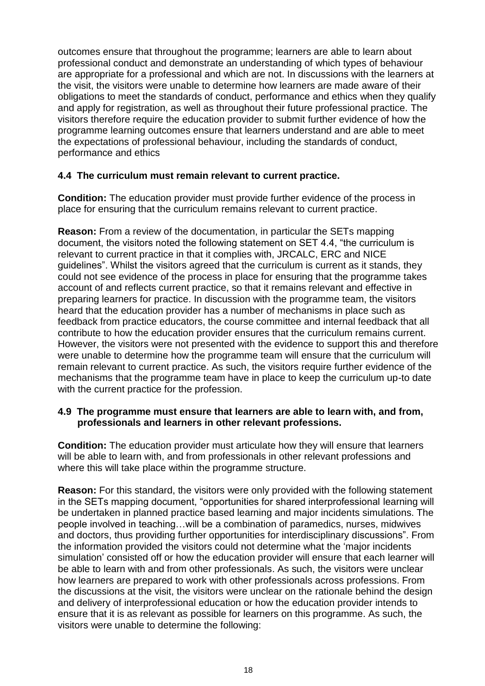outcomes ensure that throughout the programme; learners are able to learn about professional conduct and demonstrate an understanding of which types of behaviour are appropriate for a professional and which are not. In discussions with the learners at the visit, the visitors were unable to determine how learners are made aware of their obligations to meet the standards of conduct, performance and ethics when they qualify and apply for registration, as well as throughout their future professional practice. The visitors therefore require the education provider to submit further evidence of how the programme learning outcomes ensure that learners understand and are able to meet the expectations of professional behaviour, including the standards of conduct, performance and ethics

## **4.4 The curriculum must remain relevant to current practice.**

**Condition:** The education provider must provide further evidence of the process in place for ensuring that the curriculum remains relevant to current practice.

**Reason:** From a review of the documentation, in particular the SETs mapping document, the visitors noted the following statement on SET 4.4, "the curriculum is relevant to current practice in that it complies with, JRCALC, ERC and NICE guidelines". Whilst the visitors agreed that the curriculum is current as it stands, they could not see evidence of the process in place for ensuring that the programme takes account of and reflects current practice, so that it remains relevant and effective in preparing learners for practice. In discussion with the programme team, the visitors heard that the education provider has a number of mechanisms in place such as feedback from practice educators, the course committee and internal feedback that all contribute to how the education provider ensures that the curriculum remains current. However, the visitors were not presented with the evidence to support this and therefore were unable to determine how the programme team will ensure that the curriculum will remain relevant to current practice. As such, the visitors require further evidence of the mechanisms that the programme team have in place to keep the curriculum up-to date with the current practice for the profession.

#### **4.9 The programme must ensure that learners are able to learn with, and from, professionals and learners in other relevant professions.**

**Condition:** The education provider must articulate how they will ensure that learners will be able to learn with, and from professionals in other relevant professions and where this will take place within the programme structure.

**Reason:** For this standard, the visitors were only provided with the following statement in the SETs mapping document, "opportunities for shared interprofessional learning will be undertaken in planned practice based learning and major incidents simulations. The people involved in teaching…will be a combination of paramedics, nurses, midwives and doctors, thus providing further opportunities for interdisciplinary discussions". From the information provided the visitors could not determine what the 'major incidents simulation' consisted off or how the education provider will ensure that each learner will be able to learn with and from other professionals. As such, the visitors were unclear how learners are prepared to work with other professionals across professions. From the discussions at the visit, the visitors were unclear on the rationale behind the design and delivery of interprofessional education or how the education provider intends to ensure that it is as relevant as possible for learners on this programme. As such, the visitors were unable to determine the following: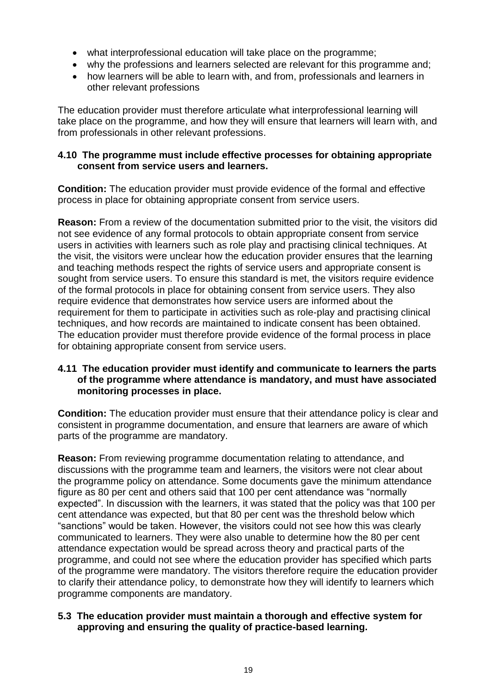- what interprofessional education will take place on the programme;
- why the professions and learners selected are relevant for this programme and;
- how learners will be able to learn with, and from, professionals and learners in other relevant professions

The education provider must therefore articulate what interprofessional learning will take place on the programme, and how they will ensure that learners will learn with, and from professionals in other relevant professions.

# **4.10 The programme must include effective processes for obtaining appropriate consent from service users and learners.**

**Condition:** The education provider must provide evidence of the formal and effective process in place for obtaining appropriate consent from service users.

**Reason:** From a review of the documentation submitted prior to the visit, the visitors did not see evidence of any formal protocols to obtain appropriate consent from service users in activities with learners such as role play and practising clinical techniques. At the visit, the visitors were unclear how the education provider ensures that the learning and teaching methods respect the rights of service users and appropriate consent is sought from service users. To ensure this standard is met, the visitors require evidence of the formal protocols in place for obtaining consent from service users. They also require evidence that demonstrates how service users are informed about the requirement for them to participate in activities such as role-play and practising clinical techniques, and how records are maintained to indicate consent has been obtained. The education provider must therefore provide evidence of the formal process in place for obtaining appropriate consent from service users.

# **4.11 The education provider must identify and communicate to learners the parts of the programme where attendance is mandatory, and must have associated monitoring processes in place.**

**Condition:** The education provider must ensure that their attendance policy is clear and consistent in programme documentation, and ensure that learners are aware of which parts of the programme are mandatory.

**Reason:** From reviewing programme documentation relating to attendance, and discussions with the programme team and learners, the visitors were not clear about the programme policy on attendance. Some documents gave the minimum attendance figure as 80 per cent and others said that 100 per cent attendance was "normally expected". In discussion with the learners, it was stated that the policy was that 100 per cent attendance was expected, but that 80 per cent was the threshold below which "sanctions" would be taken. However, the visitors could not see how this was clearly communicated to learners. They were also unable to determine how the 80 per cent attendance expectation would be spread across theory and practical parts of the programme, and could not see where the education provider has specified which parts of the programme were mandatory. The visitors therefore require the education provider to clarify their attendance policy, to demonstrate how they will identify to learners which programme components are mandatory.

#### **5.3 The education provider must maintain a thorough and effective system for approving and ensuring the quality of practice-based learning.**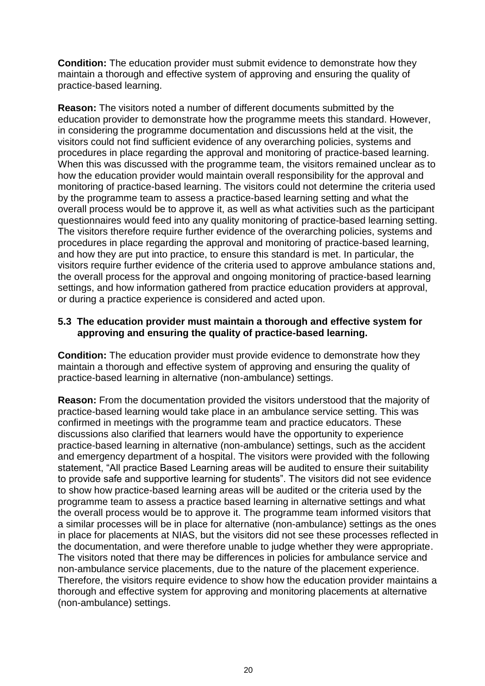**Condition:** The education provider must submit evidence to demonstrate how they maintain a thorough and effective system of approving and ensuring the quality of practice-based learning.

**Reason:** The visitors noted a number of different documents submitted by the education provider to demonstrate how the programme meets this standard. However, in considering the programme documentation and discussions held at the visit, the visitors could not find sufficient evidence of any overarching policies, systems and procedures in place regarding the approval and monitoring of practice-based learning. When this was discussed with the programme team, the visitors remained unclear as to how the education provider would maintain overall responsibility for the approval and monitoring of practice-based learning. The visitors could not determine the criteria used by the programme team to assess a practice-based learning setting and what the overall process would be to approve it, as well as what activities such as the participant questionnaires would feed into any quality monitoring of practice-based learning setting. The visitors therefore require further evidence of the overarching policies, systems and procedures in place regarding the approval and monitoring of practice-based learning, and how they are put into practice, to ensure this standard is met. In particular, the visitors require further evidence of the criteria used to approve ambulance stations and, the overall process for the approval and ongoing monitoring of practice-based learning settings, and how information gathered from practice education providers at approval, or during a practice experience is considered and acted upon.

## **5.3 The education provider must maintain a thorough and effective system for approving and ensuring the quality of practice-based learning.**

**Condition:** The education provider must provide evidence to demonstrate how they maintain a thorough and effective system of approving and ensuring the quality of practice-based learning in alternative (non-ambulance) settings.

**Reason:** From the documentation provided the visitors understood that the majority of practice-based learning would take place in an ambulance service setting. This was confirmed in meetings with the programme team and practice educators. These discussions also clarified that learners would have the opportunity to experience practice-based learning in alternative (non-ambulance) settings, such as the accident and emergency department of a hospital. The visitors were provided with the following statement, "All practice Based Learning areas will be audited to ensure their suitability to provide safe and supportive learning for students". The visitors did not see evidence to show how practice-based learning areas will be audited or the criteria used by the programme team to assess a practice based learning in alternative settings and what the overall process would be to approve it. The programme team informed visitors that a similar processes will be in place for alternative (non-ambulance) settings as the ones in place for placements at NIAS, but the visitors did not see these processes reflected in the documentation, and were therefore unable to judge whether they were appropriate. The visitors noted that there may be differences in policies for ambulance service and non-ambulance service placements, due to the nature of the placement experience. Therefore, the visitors require evidence to show how the education provider maintains a thorough and effective system for approving and monitoring placements at alternative (non-ambulance) settings.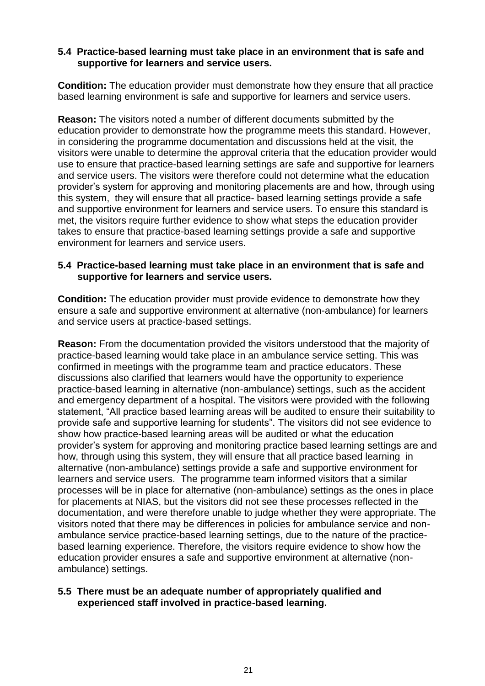## **5.4 Practice-based learning must take place in an environment that is safe and supportive for learners and service users.**

**Condition:** The education provider must demonstrate how they ensure that all practice based learning environment is safe and supportive for learners and service users.

**Reason:** The visitors noted a number of different documents submitted by the education provider to demonstrate how the programme meets this standard. However, in considering the programme documentation and discussions held at the visit, the visitors were unable to determine the approval criteria that the education provider would use to ensure that practice-based learning settings are safe and supportive for learners and service users. The visitors were therefore could not determine what the education provider's system for approving and monitoring placements are and how, through using this system, they will ensure that all practice- based learning settings provide a safe and supportive environment for learners and service users. To ensure this standard is met, the visitors require further evidence to show what steps the education provider takes to ensure that practice-based learning settings provide a safe and supportive environment for learners and service users.

## **5.4 Practice-based learning must take place in an environment that is safe and supportive for learners and service users.**

**Condition:** The education provider must provide evidence to demonstrate how they ensure a safe and supportive environment at alternative (non-ambulance) for learners and service users at practice-based settings.

**Reason:** From the documentation provided the visitors understood that the majority of practice-based learning would take place in an ambulance service setting. This was confirmed in meetings with the programme team and practice educators. These discussions also clarified that learners would have the opportunity to experience practice-based learning in alternative (non-ambulance) settings, such as the accident and emergency department of a hospital. The visitors were provided with the following statement, "All practice based learning areas will be audited to ensure their suitability to provide safe and supportive learning for students". The visitors did not see evidence to show how practice-based learning areas will be audited or what the education provider's system for approving and monitoring practice based learning settings are and how, through using this system, they will ensure that all practice based learning in alternative (non-ambulance) settings provide a safe and supportive environment for learners and service users. The programme team informed visitors that a similar processes will be in place for alternative (non-ambulance) settings as the ones in place for placements at NIAS, but the visitors did not see these processes reflected in the documentation, and were therefore unable to judge whether they were appropriate. The visitors noted that there may be differences in policies for ambulance service and nonambulance service practice-based learning settings, due to the nature of the practicebased learning experience. Therefore, the visitors require evidence to show how the education provider ensures a safe and supportive environment at alternative (nonambulance) settings.

#### **5.5 There must be an adequate number of appropriately qualified and experienced staff involved in practice-based learning.**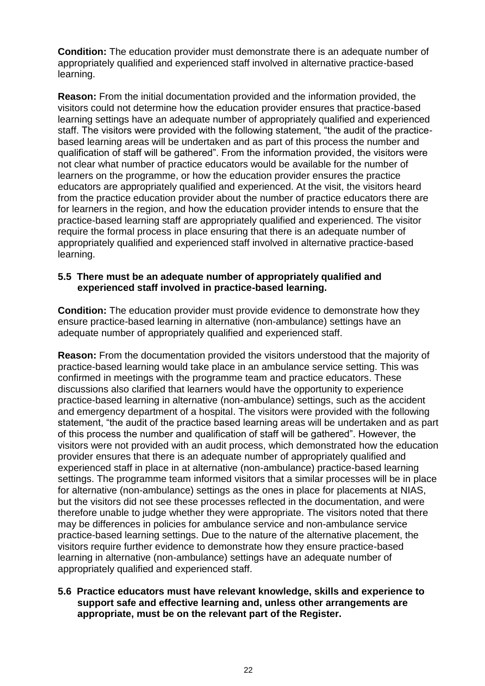**Condition:** The education provider must demonstrate there is an adequate number of appropriately qualified and experienced staff involved in alternative practice-based learning.

**Reason:** From the initial documentation provided and the information provided, the visitors could not determine how the education provider ensures that practice-based learning settings have an adequate number of appropriately qualified and experienced staff. The visitors were provided with the following statement, "the audit of the practicebased learning areas will be undertaken and as part of this process the number and qualification of staff will be gathered". From the information provided, the visitors were not clear what number of practice educators would be available for the number of learners on the programme, or how the education provider ensures the practice educators are appropriately qualified and experienced. At the visit, the visitors heard from the practice education provider about the number of practice educators there are for learners in the region, and how the education provider intends to ensure that the practice-based learning staff are appropriately qualified and experienced. The visitor require the formal process in place ensuring that there is an adequate number of appropriately qualified and experienced staff involved in alternative practice-based learning.

## **5.5 There must be an adequate number of appropriately qualified and experienced staff involved in practice-based learning.**

**Condition:** The education provider must provide evidence to demonstrate how they ensure practice-based learning in alternative (non-ambulance) settings have an adequate number of appropriately qualified and experienced staff.

**Reason:** From the documentation provided the visitors understood that the majority of practice-based learning would take place in an ambulance service setting. This was confirmed in meetings with the programme team and practice educators. These discussions also clarified that learners would have the opportunity to experience practice-based learning in alternative (non-ambulance) settings, such as the accident and emergency department of a hospital. The visitors were provided with the following statement, "the audit of the practice based learning areas will be undertaken and as part of this process the number and qualification of staff will be gathered". However, the visitors were not provided with an audit process, which demonstrated how the education provider ensures that there is an adequate number of appropriately qualified and experienced staff in place in at alternative (non-ambulance) practice-based learning settings. The programme team informed visitors that a similar processes will be in place for alternative (non-ambulance) settings as the ones in place for placements at NIAS, but the visitors did not see these processes reflected in the documentation, and were therefore unable to judge whether they were appropriate. The visitors noted that there may be differences in policies for ambulance service and non-ambulance service practice-based learning settings. Due to the nature of the alternative placement, the visitors require further evidence to demonstrate how they ensure practice-based learning in alternative (non-ambulance) settings have an adequate number of appropriately qualified and experienced staff.

#### **5.6 Practice educators must have relevant knowledge, skills and experience to support safe and effective learning and, unless other arrangements are appropriate, must be on the relevant part of the Register.**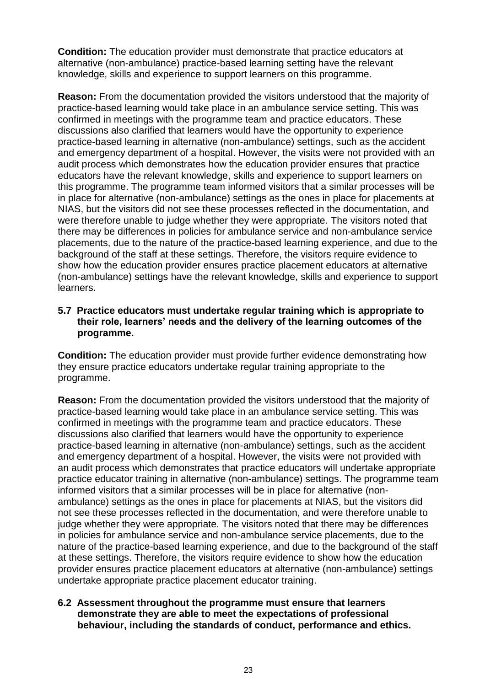**Condition:** The education provider must demonstrate that practice educators at alternative (non-ambulance) practice-based learning setting have the relevant knowledge, skills and experience to support learners on this programme.

**Reason:** From the documentation provided the visitors understood that the majority of practice-based learning would take place in an ambulance service setting. This was confirmed in meetings with the programme team and practice educators. These discussions also clarified that learners would have the opportunity to experience practice-based learning in alternative (non-ambulance) settings, such as the accident and emergency department of a hospital. However, the visits were not provided with an audit process which demonstrates how the education provider ensures that practice educators have the relevant knowledge, skills and experience to support learners on this programme. The programme team informed visitors that a similar processes will be in place for alternative (non-ambulance) settings as the ones in place for placements at NIAS, but the visitors did not see these processes reflected in the documentation, and were therefore unable to judge whether they were appropriate. The visitors noted that there may be differences in policies for ambulance service and non-ambulance service placements, due to the nature of the practice-based learning experience, and due to the background of the staff at these settings. Therefore, the visitors require evidence to show how the education provider ensures practice placement educators at alternative (non-ambulance) settings have the relevant knowledge, skills and experience to support learners.

## **5.7 Practice educators must undertake regular training which is appropriate to their role, learners' needs and the delivery of the learning outcomes of the programme.**

**Condition:** The education provider must provide further evidence demonstrating how they ensure practice educators undertake regular training appropriate to the programme.

**Reason:** From the documentation provided the visitors understood that the majority of practice-based learning would take place in an ambulance service setting. This was confirmed in meetings with the programme team and practice educators. These discussions also clarified that learners would have the opportunity to experience practice-based learning in alternative (non-ambulance) settings, such as the accident and emergency department of a hospital. However, the visits were not provided with an audit process which demonstrates that practice educators will undertake appropriate practice educator training in alternative (non-ambulance) settings. The programme team informed visitors that a similar processes will be in place for alternative (nonambulance) settings as the ones in place for placements at NIAS, but the visitors did not see these processes reflected in the documentation, and were therefore unable to judge whether they were appropriate. The visitors noted that there may be differences in policies for ambulance service and non-ambulance service placements, due to the nature of the practice-based learning experience, and due to the background of the staff at these settings. Therefore, the visitors require evidence to show how the education provider ensures practice placement educators at alternative (non-ambulance) settings undertake appropriate practice placement educator training.

#### **6.2 Assessment throughout the programme must ensure that learners demonstrate they are able to meet the expectations of professional behaviour, including the standards of conduct, performance and ethics.**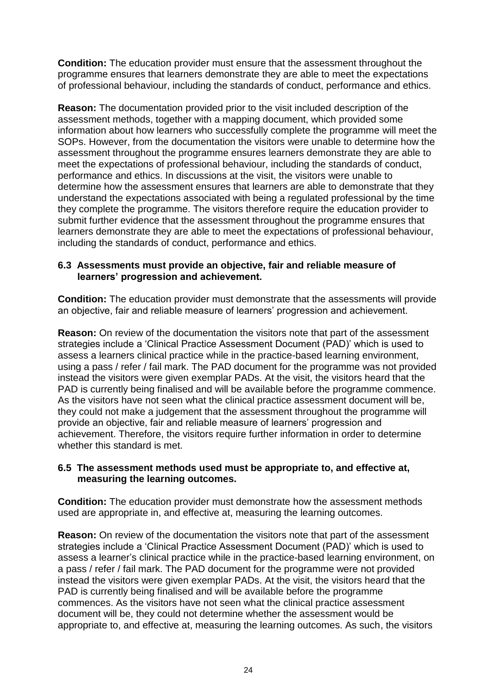**Condition:** The education provider must ensure that the assessment throughout the programme ensures that learners demonstrate they are able to meet the expectations of professional behaviour, including the standards of conduct, performance and ethics.

**Reason:** The documentation provided prior to the visit included description of the assessment methods, together with a mapping document, which provided some information about how learners who successfully complete the programme will meet the SOPs. However, from the documentation the visitors were unable to determine how the assessment throughout the programme ensures learners demonstrate they are able to meet the expectations of professional behaviour, including the standards of conduct, performance and ethics. In discussions at the visit, the visitors were unable to determine how the assessment ensures that learners are able to demonstrate that they understand the expectations associated with being a regulated professional by the time they complete the programme. The visitors therefore require the education provider to submit further evidence that the assessment throughout the programme ensures that learners demonstrate they are able to meet the expectations of professional behaviour, including the standards of conduct, performance and ethics.

## **6.3 Assessments must provide an objective, fair and reliable measure of learners' progression and achievement.**

**Condition:** The education provider must demonstrate that the assessments will provide an objective, fair and reliable measure of learners' progression and achievement.

**Reason:** On review of the documentation the visitors note that part of the assessment strategies include a 'Clinical Practice Assessment Document (PAD)' which is used to assess a learners clinical practice while in the practice-based learning environment, using a pass / refer / fail mark. The PAD document for the programme was not provided instead the visitors were given exemplar PADs. At the visit, the visitors heard that the PAD is currently being finalised and will be available before the programme commence. As the visitors have not seen what the clinical practice assessment document will be, they could not make a judgement that the assessment throughout the programme will provide an objective, fair and reliable measure of learners' progression and achievement. Therefore, the visitors require further information in order to determine whether this standard is met.

# **6.5 The assessment methods used must be appropriate to, and effective at, measuring the learning outcomes.**

**Condition:** The education provider must demonstrate how the assessment methods used are appropriate in, and effective at, measuring the learning outcomes.

**Reason:** On review of the documentation the visitors note that part of the assessment strategies include a 'Clinical Practice Assessment Document (PAD)' which is used to assess a learner's clinical practice while in the practice-based learning environment, on a pass / refer / fail mark. The PAD document for the programme were not provided instead the visitors were given exemplar PADs. At the visit, the visitors heard that the PAD is currently being finalised and will be available before the programme commences. As the visitors have not seen what the clinical practice assessment document will be, they could not determine whether the assessment would be appropriate to, and effective at, measuring the learning outcomes. As such, the visitors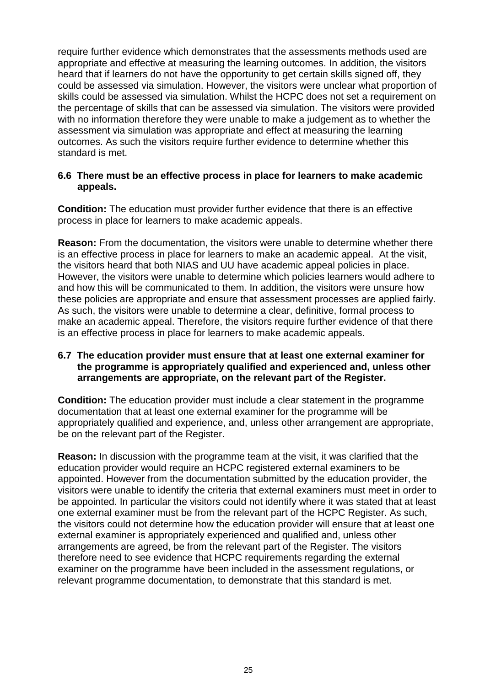require further evidence which demonstrates that the assessments methods used are appropriate and effective at measuring the learning outcomes. In addition, the visitors heard that if learners do not have the opportunity to get certain skills signed off, they could be assessed via simulation. However, the visitors were unclear what proportion of skills could be assessed via simulation. Whilst the HCPC does not set a requirement on the percentage of skills that can be assessed via simulation. The visitors were provided with no information therefore they were unable to make a judgement as to whether the assessment via simulation was appropriate and effect at measuring the learning outcomes. As such the visitors require further evidence to determine whether this standard is met.

#### **6.6 There must be an effective process in place for learners to make academic appeals.**

**Condition:** The education must provider further evidence that there is an effective process in place for learners to make academic appeals.

**Reason:** From the documentation, the visitors were unable to determine whether there is an effective process in place for learners to make an academic appeal. At the visit, the visitors heard that both NIAS and UU have academic appeal policies in place. However, the visitors were unable to determine which policies learners would adhere to and how this will be communicated to them. In addition, the visitors were unsure how these policies are appropriate and ensure that assessment processes are applied fairly. As such, the visitors were unable to determine a clear, definitive, formal process to make an academic appeal. Therefore, the visitors require further evidence of that there is an effective process in place for learners to make academic appeals.

#### **6.7 The education provider must ensure that at least one external examiner for the programme is appropriately qualified and experienced and, unless other arrangements are appropriate, on the relevant part of the Register.**

**Condition:** The education provider must include a clear statement in the programme documentation that at least one external examiner for the programme will be appropriately qualified and experience, and, unless other arrangement are appropriate, be on the relevant part of the Register.

**Reason:** In discussion with the programme team at the visit, it was clarified that the education provider would require an HCPC registered external examiners to be appointed. However from the documentation submitted by the education provider, the visitors were unable to identify the criteria that external examiners must meet in order to be appointed. In particular the visitors could not identify where it was stated that at least one external examiner must be from the relevant part of the HCPC Register. As such, the visitors could not determine how the education provider will ensure that at least one external examiner is appropriately experienced and qualified and, unless other arrangements are agreed, be from the relevant part of the Register. The visitors therefore need to see evidence that HCPC requirements regarding the external examiner on the programme have been included in the assessment regulations, or relevant programme documentation, to demonstrate that this standard is met.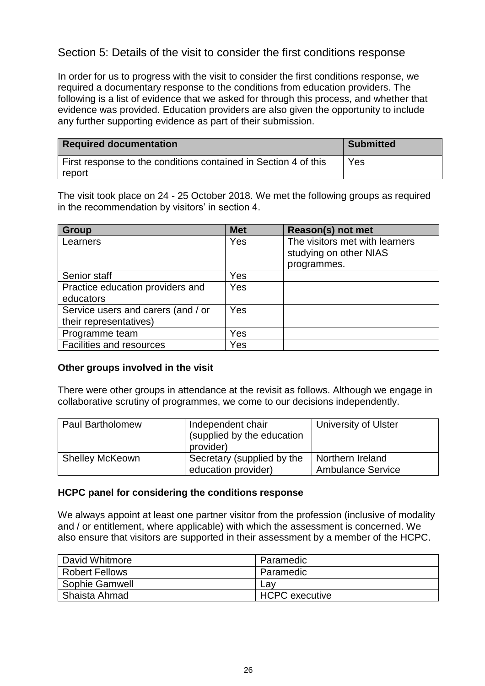# Section 5: Details of the visit to consider the first conditions response

In order for us to progress with the visit to consider the first conditions response, we required a documentary response to the conditions from education providers. The following is a list of evidence that we asked for through this process, and whether that evidence was provided. Education providers are also given the opportunity to include any further supporting evidence as part of their submission.

| <b>Required documentation</b>                                   | <b>Submitted</b> |
|-----------------------------------------------------------------|------------------|
| First response to the conditions contained in Section 4 of this | Yes              |
| report                                                          |                  |

The visit took place on 24 - 25 October 2018. We met the following groups as required in the recommendation by visitors' in section 4.

| <b>Group</b>                       | <b>Met</b> | Reason(s) not met              |
|------------------------------------|------------|--------------------------------|
| Learners                           | Yes        | The visitors met with learners |
|                                    |            | studying on other NIAS         |
|                                    |            | programmes.                    |
| Senior staff                       | Yes        |                                |
| Practice education providers and   | Yes        |                                |
| educators                          |            |                                |
| Service users and carers (and / or | Yes        |                                |
| their representatives)             |            |                                |
| Programme team                     | Yes        |                                |
| Facilities and resources           | Yes        |                                |

#### **Other groups involved in the visit**

There were other groups in attendance at the revisit as follows. Although we engage in collaborative scrutiny of programmes, we come to our decisions independently.

| <b>Paul Bartholomew</b> | Independent chair<br>(supplied by the education<br>provider) | <b>University of Ulster</b>                  |
|-------------------------|--------------------------------------------------------------|----------------------------------------------|
| <b>Shelley McKeown</b>  | Secretary (supplied by the<br>education provider)            | Northern Ireland<br><b>Ambulance Service</b> |

#### **HCPC panel for considering the conditions response**

We always appoint at least one partner visitor from the profession (inclusive of modality and / or entitlement, where applicable) with which the assessment is concerned. We also ensure that visitors are supported in their assessment by a member of the HCPC.

| David Whitmore        | Paramedic             |
|-----------------------|-----------------------|
| <b>Robert Fellows</b> | Paramedic             |
| Sophie Gamwell        | Lav                   |
| Shaista Ahmad         | <b>HCPC</b> executive |